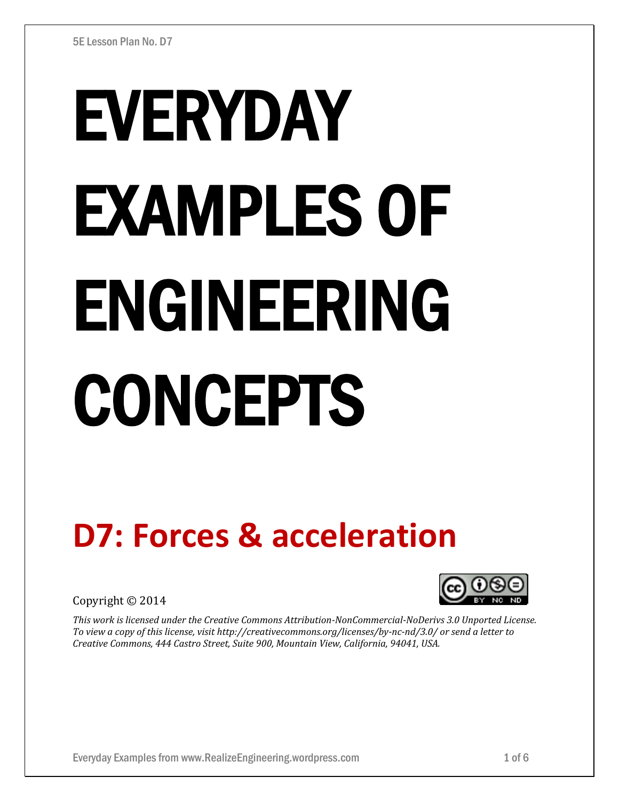# EVERYDAY EXAMPLES OF ENGINEERING **CONCEPTS**

# **D7: Forces & acceleration**

Copyright © 2014



*This work is licensed under the Creative Commons Attribution-NonCommercial-NoDerivs 3.0 Unported License. To view a copy of this license, visit http://creativecommons.org/licenses/by-nc-nd/3.0/ or send a letter to Creative Commons, 444 Castro Street, Suite 900, Mountain View, California, 94041, USA.*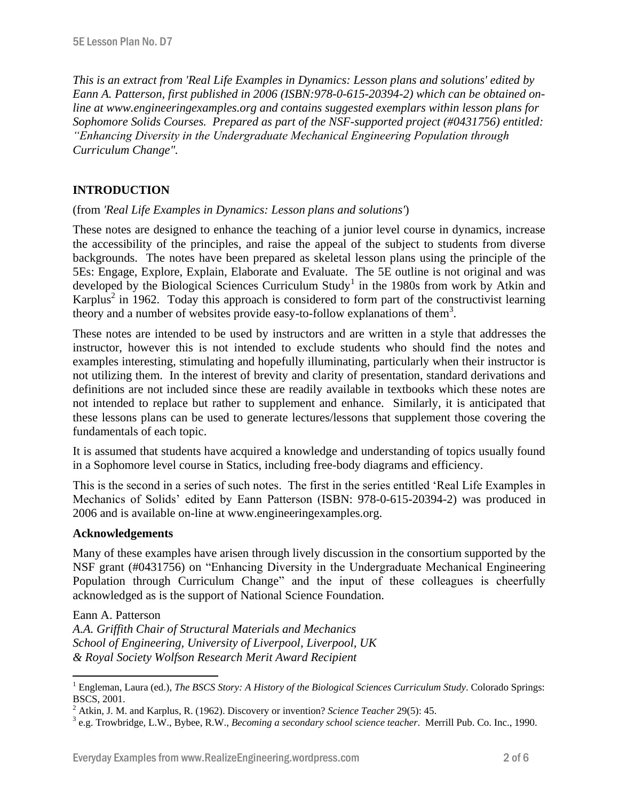*This is an extract from 'Real Life Examples in Dynamics: Lesson plans and solutions' edited by Eann A. Patterson, first published in 2006 (ISBN:978-0-615-20394-2) which can be obtained online at www.engineeringexamples.org and contains suggested exemplars within lesson plans for Sophomore Solids Courses. Prepared as part of the NSF-supported project (#0431756) entitled: "Enhancing Diversity in the Undergraduate Mechanical Engineering Population through Curriculum Change".* 

# **INTRODUCTION**

# (from *'Real Life Examples in Dynamics: Lesson plans and solutions'*)

These notes are designed to enhance the teaching of a junior level course in dynamics, increase the accessibility of the principles, and raise the appeal of the subject to students from diverse backgrounds. The notes have been prepared as skeletal lesson plans using the principle of the 5Es: Engage, Explore, Explain, Elaborate and Evaluate. The 5E outline is not original and was developed by the Biological Sciences Curriculum Study<sup>1</sup> in the 1980s from work by Atkin and Karplus<sup>2</sup> in 1962. Today this approach is considered to form part of the constructivist learning theory and a number of websites provide easy-to-follow explanations of them<sup>3</sup>.

These notes are intended to be used by instructors and are written in a style that addresses the instructor, however this is not intended to exclude students who should find the notes and examples interesting, stimulating and hopefully illuminating, particularly when their instructor is not utilizing them. In the interest of brevity and clarity of presentation, standard derivations and definitions are not included since these are readily available in textbooks which these notes are not intended to replace but rather to supplement and enhance. Similarly, it is anticipated that these lessons plans can be used to generate lectures/lessons that supplement those covering the fundamentals of each topic.

It is assumed that students have acquired a knowledge and understanding of topics usually found in a Sophomore level course in Statics, including free-body diagrams and efficiency.

This is the second in a series of such notes. The first in the series entitled 'Real Life Examples in Mechanics of Solids' edited by Eann Patterson (ISBN: 978-0-615-20394-2) was produced in 2006 and is available on-line at www.engineeringexamples.org.

# **Acknowledgements**

 $\overline{a}$ 

Many of these examples have arisen through lively discussion in the consortium supported by the NSF grant (#0431756) on "Enhancing Diversity in the Undergraduate Mechanical Engineering Population through Curriculum Change" and the input of these colleagues is cheerfully acknowledged as is the support of National Science Foundation.

Eann A. Patterson *A.A. Griffith Chair of Structural Materials and Mechanics School of Engineering, University of Liverpool, Liverpool, UK & Royal Society Wolfson Research Merit Award Recipient*

<sup>1</sup> Engleman, Laura (ed.), *The BSCS Story: A History of the Biological Sciences Curriculum Study*. Colorado Springs: BSCS, 2001.

<sup>2</sup> Atkin, J. M. and Karplus, R. (1962). Discovery or invention? *Science Teacher* 29(5): 45.

<sup>3</sup> e.g. Trowbridge, L.W., Bybee, R.W., *Becoming a secondary school science teacher*. Merrill Pub. Co. Inc., 1990.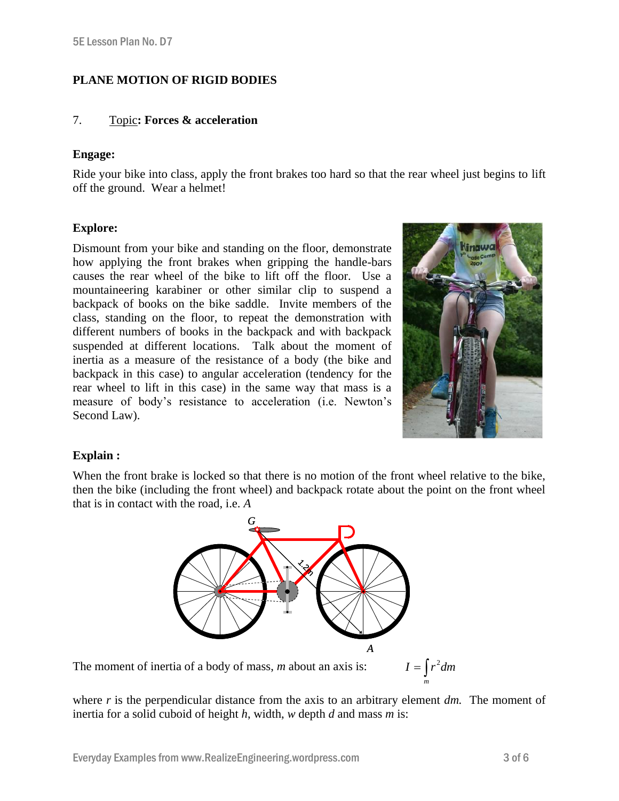# **PLANE MOTION OF RIGID BODIES**

### 7. Topic**: Forces & acceleration**

#### **Engage:**

Ride your bike into class, apply the front brakes too hard so that the rear wheel just begins to lift off the ground. Wear a helmet!

# **Explore:**

Dismount from your bike and standing on the floor, demonstrate how applying the front brakes when gripping the handle-bars causes the rear wheel of the bike to lift off the floor. Use a mountaineering karabiner or other similar clip to suspend a backpack of books on the bike saddle. Invite members of the class, standing on the floor, to repeat the demonstration with different numbers of books in the backpack and with backpack suspended at different locations. Talk about the moment of inertia as a measure of the resistance of a body (the bike and backpack in this case) to angular acceleration (tendency for the rear wheel to lift in this case) in the same way that mass is a measure of body's resistance to acceleration (i.e. Newton's Second Law).



# **Explain :**

When the front brake is locked so that there is no motion of the front wheel relative to the bike. then the bike (including the front wheel) and backpack rotate about the point on the front wheel that is in contact with the road, i.e. *A*



The moment of inertia of a body of mass, *m* about an axis is:

 $I = \int r^2 dm$ *m*

where *r* is the perpendicular distance from the axis to an arbitrary element *dm*. The moment of inertia for a solid cuboid of height *h*, width, *w* depth *d* and mass *m* is: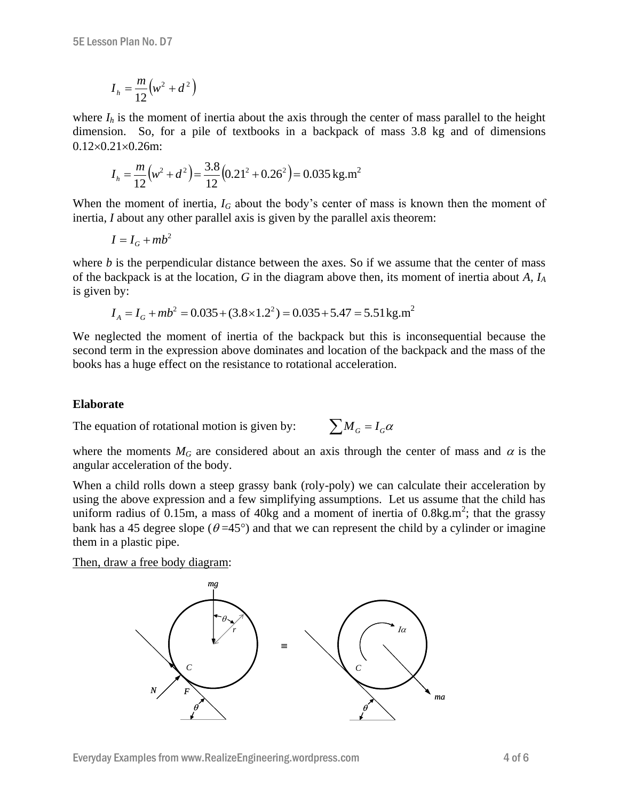$$
I_h = \frac{m}{12} \left( w^2 + d^2 \right)
$$

where  $I_h$  is the moment of inertia about the axis through the center of mass parallel to the height dimension. So, for a pile of textbooks in a backpack of mass 3.8 kg and of dimensions  $0.12\times0.21\times0.26$ m:

$$
I_h = \frac{m}{12} (w^2 + d^2) = \frac{3.8}{12} (0.21^2 + 0.26^2) = 0.035 \text{ kg.m}^2
$$

When the moment of inertia,  $I_G$  about the body's center of mass is known then the moment of inertia, *I* about any other parallel axis is given by the parallel axis theorem:

$$
I = I_G + mb^2
$$

where  $b$  is the perpendicular distance between the axes. So if we assume that the center of mass of the backpack is at the location, *G* in the diagram above then, its moment of inertia about *A, I<sup>A</sup>* is given by:

$$
I_A = I_G + mb^2 = 0.035 + (3.8 \times 1.2^2) = 0.035 + 5.47 = 5.51 \,\text{kg.m}^2
$$

We neglected the moment of inertia of the backpack but this is inconsequential because the second term in the expression above dominates and location of the backpack and the mass of the books has a huge effect on the resistance to rotational acceleration.

#### **Elaborate**

The equation of rotational motion is given by:  $\sum M_G = I_G \alpha$ 

where the moments  $M_G$  are considered about an axis through the center of mass and  $\alpha$  is the angular acceleration of the body.

When a child rolls down a steep grassy bank (roly-poly) we can calculate their acceleration by using the above expression and a few simplifying assumptions. Let us assume that the child has uniform radius of  $0.15$ m, a mass of  $40$ kg and a moment of inertia of  $0.8$ kg.m<sup>2</sup>; that the grassy bank has a 45 degree slope ( $\theta = 45^{\circ}$ ) and that we can represent the child by a cylinder or imagine them in a plastic pipe.

Then, draw a free body diagram:

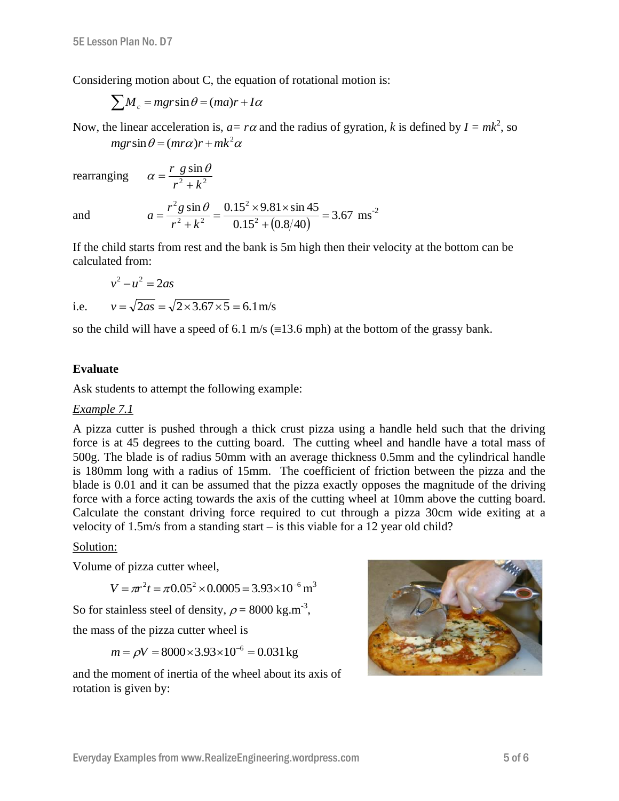Considering motion about C, the equation of rotational motion is:

$$
\sum M_c = mgr\sin\theta = (ma)r + I\alpha
$$

 $2 + 1.2$ sin  $r^2 + k$ *r g*

 $\ddot{}$  $\alpha = \frac{r \cdot g \sin \theta}{2}$ 

Now, the linear acceleration is,  $a = r\alpha$  and the radius of gyration, k is defined by  $I = mk^2$ , so  $mgr\sin\theta = (mr\alpha)r + mk^2\alpha$ 

rearranging

and

$$
a = \frac{r^2 g \sin \theta}{r^2 + k^2} = \frac{0.15^2 \times 9.81 \times \sin 45}{0.15^2 + (0.8/40)} = 3.67
$$
 ms<sup>-2</sup>

If the child starts from rest and the bank is 5m high then their velocity at the bottom can be calculated from:

$$
v^2 - u^2 = 2as
$$
  
i.e.  $v = \sqrt{2as} = \sqrt{2 \times 3.67 \times 5} = 6.1 \text{ m/s}$ 

so the child will have a speed of 6.1 m/s ( $\equiv$ 13.6 mph) at the bottom of the grassy bank.

# **Evaluate**

Ask students to attempt the following example:

#### *Example 7.1*

A pizza cutter is pushed through a thick crust pizza using a handle held such that the driving force is at 45 degrees to the cutting board. The cutting wheel and handle have a total mass of 500g. The blade is of radius 50mm with an average thickness 0.5mm and the cylindrical handle is 180mm long with a radius of 15mm. The coefficient of friction between the pizza and the blade is 0.01 and it can be assumed that the pizza exactly opposes the magnitude of the driving force with a force acting towards the axis of the cutting wheel at 10mm above the cutting board. Calculate the constant driving force required to cut through a pizza 30cm wide exiting at a velocity of  $1.5 \text{m/s}$  from a standing start – is this viable for a 12 year old child?

#### Solution:

Volume of pizza cutter wheel,

$$
V = \pi r^2 t = \pi 0.05^2 \times 0.0005 = 3.93 \times 10^{-6} \,\mathrm{m}^3
$$

So for stainless steel of density,  $\rho = 8000 \text{ kg.m}^3$ ,

the mass of the pizza cutter wheel is

 $m = \rho V = 8000 \times 3.93 \times 10^{-6} = 0.031 \,\text{kg}$ 

and the moment of inertia of the wheel about its axis of rotation is given by: